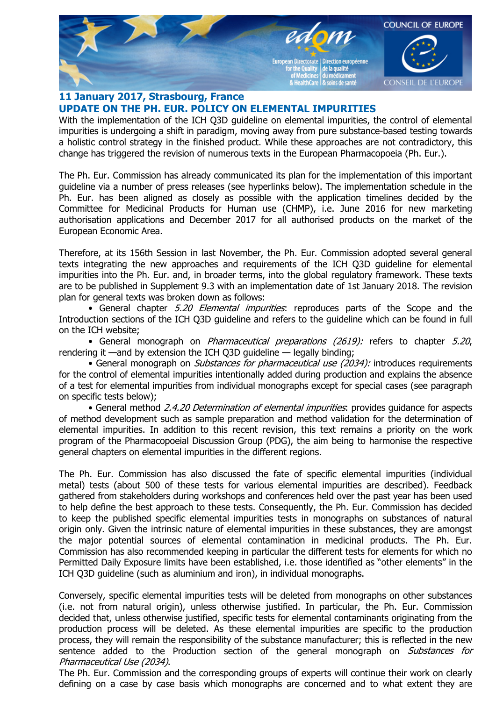

## **11 January 2017, Strasbourg, France UPDATE ON THE PH. EUR. POLICY ON ELEMENTAL IMPURITIES**

With the implementation of the ICH Q3D guideline on elemental impurities, the control of elemental impurities is undergoing a shift in paradigm, moving away from pure substance-based testing towards a holistic control strategy in the finished product. While these approaches are not contradictory, this change has triggered the revision of numerous texts in the European Pharmacopoeia (Ph. Eur.).

The Ph. Eur. Commission has already communicated its plan for the implementation of this important guideline via a number of press releases (see hyperlinks below). The implementation schedule in the Ph. Eur. has been aligned as closely as possible with the application timelines decided by the Committee for Medicinal Products for Human use (CHMP), i.e. June 2016 for new marketing authorisation applications and December 2017 for all authorised products on the market of the European Economic Area.

Therefore, at its 156th Session in last November, the Ph. Eur. Commission adopted several general texts integrating the new approaches and requirements of the ICH Q3D guideline for elemental impurities into the Ph. Eur. and, in broader terms, into the global regulatory framework. These texts are to be published in Supplement 9.3 with an implementation date of 1st January 2018. The revision plan for general texts was broken down as follows:

• General chapter 5.20 Elemental impurities: reproduces parts of the Scope and the Introduction sections of the ICH Q3D guideline and refers to the guideline which can be found in full on the ICH website;

• General monograph on *Pharmaceutical preparations (2619):* refers to chapter 5.20, rendering it —and by extension the ICH Q3D guideline — legally binding;

• General monograph on *Substances for pharmaceutical use (2034):* introduces requirements for the control of elemental impurities intentionally added during production and explains the absence of a test for elemental impurities from individual monographs except for special cases (see paragraph on specific tests below);

• General method 2.4.20 Determination of elemental impurities: provides quidance for aspects of method development such as sample preparation and method validation for the determination of elemental impurities. In addition to this recent revision, this text remains a priority on the work program of the Pharmacopoeial Discussion Group (PDG), the aim being to harmonise the respective general chapters on elemental impurities in the different regions.

The Ph. Eur. Commission has also discussed the fate of specific elemental impurities (individual metal) tests (about 500 of these tests for various elemental impurities are described). Feedback gathered from stakeholders during workshops and conferences held over the past year has been used to help define the best approach to these tests. Consequently, the Ph. Eur. Commission has decided to keep the published specific elemental impurities tests in monographs on substances of natural origin only. Given the intrinsic nature of elemental impurities in these substances, they are amongst the major potential sources of elemental contamination in medicinal products. The Ph. Eur. Commission has also recommended keeping in particular the different tests for elements for which no Permitted Daily Exposure limits have been established, i.e. those identified as "other elements" in the ICH Q3D guideline (such as aluminium and iron), in individual monographs.

Conversely, specific elemental impurities tests will be deleted from monographs on other substances (i.e. not from natural origin), unless otherwise justified. In particular, the Ph. Eur. Commission decided that, unless otherwise justified, specific tests for elemental contaminants originating from the production process will be deleted. As these elemental impurities are specific to the production process, they will remain the responsibility of the substance manufacturer; this is reflected in the new sentence added to the Production section of the general monograph on Substances for Pharmaceutical Use (2034).

The Ph. Eur. Commission and the corresponding groups of experts will continue their work on clearly defining on a case by case basis which monographs are concerned and to what extent they are